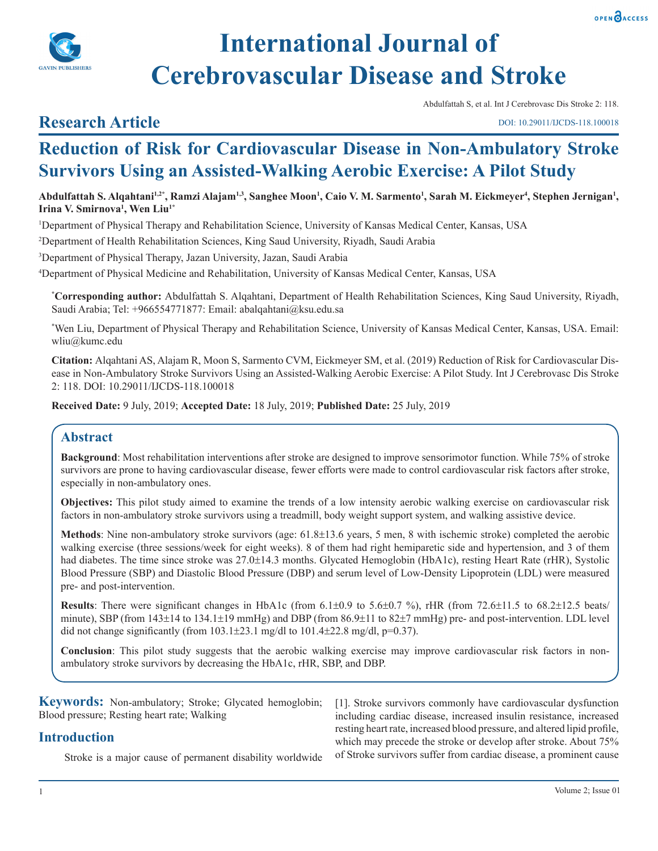



# **International Journal of Cerebrovascular Disease and Stroke**

Abdulfattah S, et al. Int J Cerebrovasc Dis Stroke 2: 118.

#### DOI: 10.29011/IJCDS-118.100018

## **Research Article**

**Reduction of Risk for Cardiovascular Disease in Non-Ambulatory Stroke Survivors Using an Assisted-Walking Aerobic Exercise: A Pilot Study**

Abdulfattah S. Alqahtani<sup>1,2</sup>\*, Ramzi Alajam<sup>1,3</sup>, Sanghee Moon<sup>1</sup>, Caio V. M. Sarmento<sup>1</sup>, Sarah M. Eickmeyer<sup>4</sup>, Stephen Jernigan<sup>1</sup>, **Irina V. Smirnova1 , Wen Liu1\***

1 Department of Physical Therapy and Rehabilitation Science, University of Kansas Medical Center, Kansas, USA

2 Department of Health Rehabilitation Sciences, King Saud University, Riyadh, Saudi Arabia

3 Department of Physical Therapy, Jazan University, Jazan, Saudi Arabia

4 Department of Physical Medicine and Rehabilitation, University of Kansas Medical Center, Kansas, USA

**\* Corresponding author:** Abdulfattah S. Alqahtani, Department of Health Rehabilitation Sciences, King Saud University, Riyadh, Saudi Arabia; Tel: +966554771877: Email: abalqahtani@ksu.edu.sa

\* Wen Liu, Department of Physical Therapy and Rehabilitation Science, University of Kansas Medical Center, Kansas, USA. Email: wliu@kumc.edu

**Citation:** Alqahtani AS, Alajam R, Moon S, Sarmento CVM, Eickmeyer SM, et al. (2019) Reduction of Risk for Cardiovascular Disease in Non-Ambulatory Stroke Survivors Using an Assisted-Walking Aerobic Exercise: A Pilot Study. Int J Cerebrovasc Dis Stroke 2: 118. DOI: 10.29011/IJCDS-118.100018

**Received Date:** 9 July, 2019; **Accepted Date:** 18 July, 2019; **Published Date:** 25 July, 2019

## **Abstract**

**Background**: Most rehabilitation interventions after stroke are designed to improve sensorimotor function. While 75% of stroke survivors are prone to having cardiovascular disease, fewer efforts were made to control cardiovascular risk factors after stroke, especially in non-ambulatory ones.

**Objectives:** This pilot study aimed to examine the trends of a low intensity aerobic walking exercise on cardiovascular risk factors in non-ambulatory stroke survivors using a treadmill, body weight support system, and walking assistive device.

**Methods**: Nine non-ambulatory stroke survivors (age: 61.8±13.6 years, 5 men, 8 with ischemic stroke) completed the aerobic walking exercise (three sessions/week for eight weeks). 8 of them had right hemiparetic side and hypertension, and 3 of them had diabetes. The time since stroke was 27.0±14.3 months. Glycated Hemoglobin (HbA1c), resting Heart Rate (rHR), Systolic Blood Pressure (SBP) and Diastolic Blood Pressure (DBP) and serum level of Low-Density Lipoprotein (LDL) were measured pre- and post-intervention.

**Results**: There were significant changes in HbA1c (from 6.1±0.9 to 5.6±0.7 %), rHR (from 72.6±11.5 to 68.2±12.5 beats/ minute), SBP (from 143±14 to 134.1±19 mmHg) and DBP (from 86.9±11 to 82±7 mmHg) pre- and post-intervention. LDL level did not change significantly (from  $103.1\pm23.1$  mg/dl to  $101.4\pm22.8$  mg/dl, p=0.37).

**Conclusion**: This pilot study suggests that the aerobic walking exercise may improve cardiovascular risk factors in nonambulatory stroke survivors by decreasing the HbA1c, rHR, SBP, and DBP.

**Keywords:** Non-ambulatory; Stroke; Glycated hemoglobin; Blood pressure; Resting heart rate; Walking

## **Introduction**

Stroke is a major cause of permanent disability worldwide

[1]. Stroke survivors commonly have cardiovascular dysfunction including cardiac disease, increased insulin resistance, increased resting heart rate, increased blood pressure, and altered lipid profile, which may precede the stroke or develop after stroke. About 75% of Stroke survivors suffer from cardiac disease, a prominent cause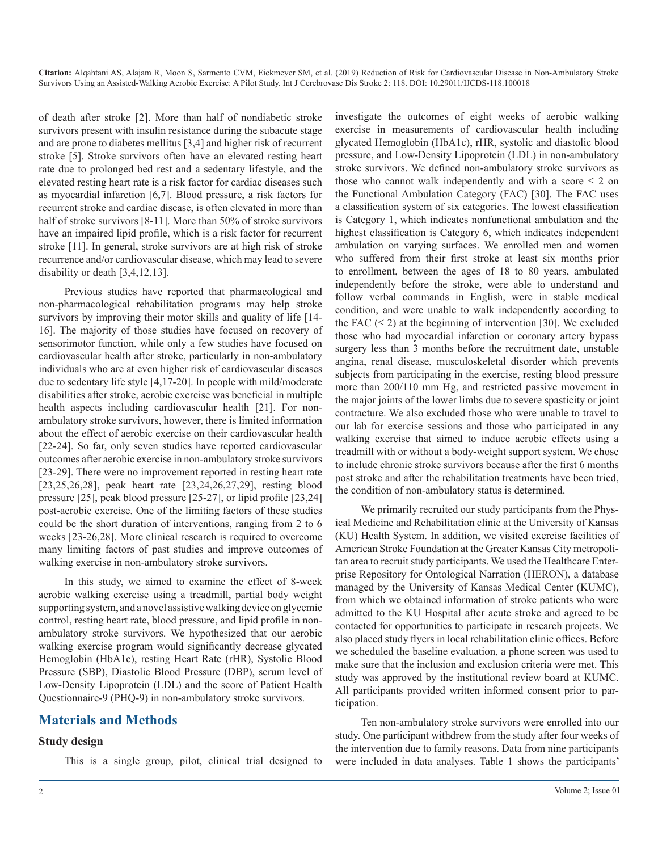of death after stroke [2]. More than half of nondiabetic stroke survivors present with insulin resistance during the subacute stage and are prone to diabetes mellitus [3,4] and higher risk of recurrent stroke [5]. Stroke survivors often have an elevated resting heart rate due to prolonged bed rest and a sedentary lifestyle, and the elevated resting heart rate is a risk factor for cardiac diseases such as myocardial infarction [6,7]. Blood pressure, a risk factors for recurrent stroke and cardiac disease, is often elevated in more than half of stroke survivors [8-11]. More than 50% of stroke survivors have an impaired lipid profile, which is a risk factor for recurrent stroke [11]. In general, stroke survivors are at high risk of stroke recurrence and/or cardiovascular disease, which may lead to severe disability or death [3,4,12,13].

Previous studies have reported that pharmacological and non-pharmacological rehabilitation programs may help stroke survivors by improving their motor skills and quality of life [14- 16]. The majority of those studies have focused on recovery of sensorimotor function, while only a few studies have focused on cardiovascular health after stroke, particularly in non-ambulatory individuals who are at even higher risk of cardiovascular diseases due to sedentary life style [4,17-20]. In people with mild/moderate disabilities after stroke, aerobic exercise was beneficial in multiple health aspects including cardiovascular health [21]. For nonambulatory stroke survivors, however, there is limited information about the effect of aerobic exercise on their cardiovascular health [22-24]. So far, only seven studies have reported cardiovascular outcomes after aerobic exercise in non-ambulatory stroke survivors [23-29]. There were no improvement reported in resting heart rate [23,25,26,28], peak heart rate [23,24,26,27,29], resting blood pressure [25], peak blood pressure [25-27], or lipid profile [23,24] post-aerobic exercise. One of the limiting factors of these studies could be the short duration of interventions, ranging from 2 to 6 weeks [23-26,28]. More clinical research is required to overcome many limiting factors of past studies and improve outcomes of walking exercise in non-ambulatory stroke survivors.

In this study, we aimed to examine the effect of 8-week aerobic walking exercise using a treadmill, partial body weight supporting system, and a novel assistive walking device on glycemic control, resting heart rate, blood pressure, and lipid profile in nonambulatory stroke survivors. We hypothesized that our aerobic walking exercise program would significantly decrease glycated Hemoglobin (HbA1c), resting Heart Rate (rHR), Systolic Blood Pressure (SBP), Diastolic Blood Pressure (DBP), serum level of Low-Density Lipoprotein (LDL) and the score of Patient Health Questionnaire-9 (PHQ-9) in non-ambulatory stroke survivors.

## **Materials and Methods**

## **Study design**

This is a single group, pilot, clinical trial designed to

investigate the outcomes of eight weeks of aerobic walking exercise in measurements of cardiovascular health including glycated Hemoglobin (HbA1c), rHR, systolic and diastolic blood pressure, and Low-Density Lipoprotein (LDL) in non-ambulatory stroke survivors. We defined non-ambulatory stroke survivors as those who cannot walk independently and with a score  $\leq 2$  on the Functional Ambulation Category (FAC) [30]. The FAC uses a classification system of six categories. The lowest classification is Category 1, which indicates nonfunctional ambulation and the highest classification is Category 6, which indicates independent ambulation on varying surfaces. We enrolled men and women who suffered from their first stroke at least six months prior to enrollment, between the ages of 18 to 80 years, ambulated independently before the stroke, were able to understand and follow verbal commands in English, were in stable medical condition, and were unable to walk independently according to the FAC  $(\leq 2)$  at the beginning of intervention [30]. We excluded those who had myocardial infarction or coronary artery bypass surgery less than 3 months before the recruitment date, unstable angina, renal disease, musculoskeletal disorder which prevents subjects from participating in the exercise, resting blood pressure more than 200/110 mm Hg, and restricted passive movement in the major joints of the lower limbs due to severe spasticity or joint contracture. We also excluded those who were unable to travel to our lab for exercise sessions and those who participated in any walking exercise that aimed to induce aerobic effects using a treadmill with or without a body-weight support system. We chose to include chronic stroke survivors because after the first 6 months post stroke and after the rehabilitation treatments have been tried, the condition of non-ambulatory status is determined.

We primarily recruited our study participants from the Physical Medicine and Rehabilitation clinic at the University of Kansas (KU) Health System. In addition, we visited exercise facilities of American Stroke Foundation at the Greater Kansas City metropolitan area to recruit study participants. We used the Healthcare Enterprise Repository for Ontological Narration (HERON), a database managed by the University of Kansas Medical Center (KUMC), from which we obtained information of stroke patients who were admitted to the KU Hospital after acute stroke and agreed to be contacted for opportunities to participate in research projects. We also placed study flyers in local rehabilitation clinic offices. Before we scheduled the baseline evaluation, a phone screen was used to make sure that the inclusion and exclusion criteria were met. This study was approved by the institutional review board at KUMC. All participants provided written informed consent prior to participation.

Ten non-ambulatory stroke survivors were enrolled into our study. One participant withdrew from the study after four weeks of the intervention due to family reasons. Data from nine participants were included in data analyses. Table 1 shows the participants'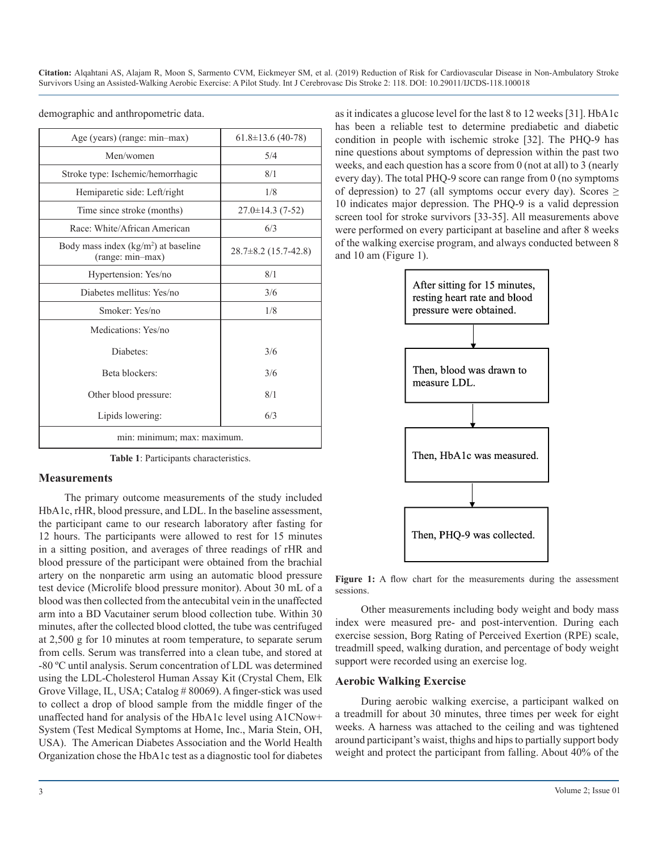| Age (years) (range: min-max)                              | $61.8 \pm 13.6$ (40-78)  |  |  |  |
|-----------------------------------------------------------|--------------------------|--|--|--|
| Men/women                                                 | 5/4                      |  |  |  |
| Stroke type: Ischemic/hemorrhagic                         | 8/1                      |  |  |  |
| Hemiparetic side: Left/right                              | 1/8                      |  |  |  |
| Time since stroke (months)                                | $27.0 \pm 14.3(7-52)$    |  |  |  |
| Race: White/African American                              | 6/3                      |  |  |  |
| Body mass index $(kg/m2)$ at baseline<br>(range: min-max) | $28.7\pm8.2$ (15.7-42.8) |  |  |  |
| Hypertension: Yes/no                                      | 8/1                      |  |  |  |
| Diabetes mellitus: Yes/no                                 | 3/6                      |  |  |  |
| Smoker: Yes/no                                            | 1/8                      |  |  |  |
| Medications: Yes/no                                       |                          |  |  |  |
| Diabetes:                                                 | 3/6                      |  |  |  |
| Beta blockers:                                            | 3/6                      |  |  |  |
| Other blood pressure:                                     | 8/1                      |  |  |  |
| Lipids lowering:                                          | 6/3                      |  |  |  |
| min: minimum; max: maximum.                               |                          |  |  |  |

demographic and anthropometric data.

**Table 1**: Participants characteristics.

#### **Measurements**

The primary outcome measurements of the study included HbA1c, rHR, blood pressure, and LDL. In the baseline assessment, the participant came to our research laboratory after fasting for 12 hours. The participants were allowed to rest for 15 minutes in a sitting position, and averages of three readings of rHR and blood pressure of the participant were obtained from the brachial artery on the nonparetic arm using an automatic blood pressure test device (Microlife blood pressure monitor). About 30 mL of a blood was then collected from the antecubital vein in the unaffected arm into a BD Vacutainer serum blood collection tube. Within 30 minutes, after the collected blood clotted, the tube was centrifuged at 2,500 g for 10 minutes at room temperature, to separate serum from cells. Serum was transferred into a clean tube, and stored at -80 ºC until analysis. Serum concentration of LDL was determined using the LDL-Cholesterol Human Assay Kit (Crystal Chem, Elk Grove Village, IL, USA; Catalog # 80069). A finger-stick was used to collect a drop of blood sample from the middle finger of the unaffected hand for analysis of the HbA1c level using A1CNow+ System (Test Medical Symptoms at Home, Inc., Maria Stein, OH, USA). The American Diabetes Association and the World Health Organization chose the HbA1c test as a diagnostic tool for diabetes

as it indicates a glucose level for the last 8 to 12 weeks [31]. HbA1c has been a reliable test to determine prediabetic and diabetic condition in people with ischemic stroke [32]. The PHQ-9 has nine questions about symptoms of depression within the past two weeks, and each question has a score from 0 (not at all) to 3 (nearly every day). The total PHQ-9 score can range from 0 (no symptoms of depression) to 27 (all symptoms occur every day). Scores  $\geq$ 10 indicates major depression. The PHQ-9 is a valid depression screen tool for stroke survivors [33-35]. All measurements above were performed on every participant at baseline and after 8 weeks of the walking exercise program, and always conducted between 8 and 10 am (Figure 1).



Figure 1: A flow chart for the measurements during the assessment sessions.

Other measurements including body weight and body mass index were measured pre- and post-intervention. During each exercise session, Borg Rating of Perceived Exertion (RPE) scale, treadmill speed, walking duration, and percentage of body weight support were recorded using an exercise log.

#### **Aerobic Walking Exercise**

During aerobic walking exercise, a participant walked on a treadmill for about 30 minutes, three times per week for eight weeks. A harness was attached to the ceiling and was tightened around participant's waist, thighs and hips to partially support body weight and protect the participant from falling. About 40% of the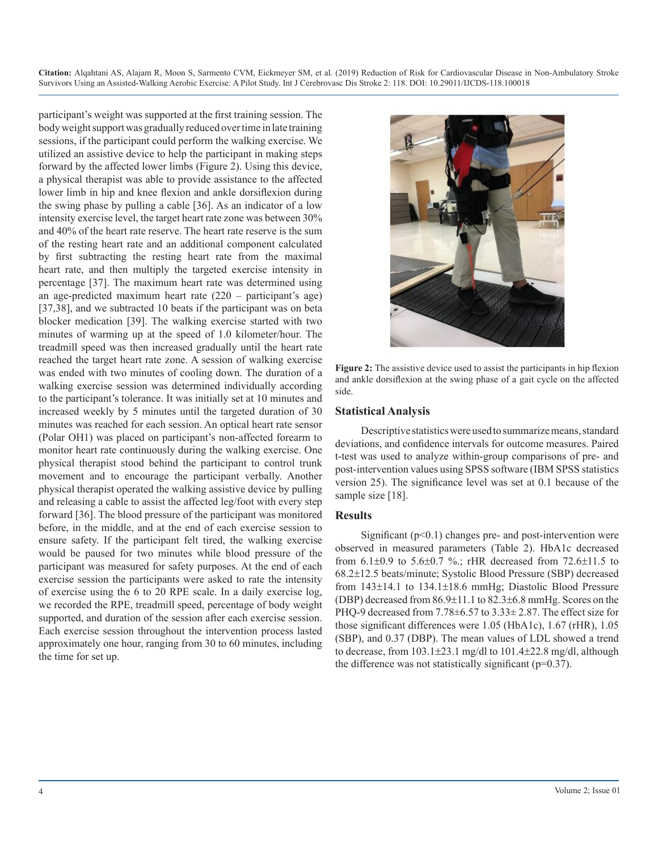participant's weight was supported at the first training session. The body weight support was gradually reduced over time in late training sessions, if the participant could perform the walking exercise. We utilized an assistive device to help the participant in making steps forward by the affected lower limbs (Figure 2). Using this device, a physical therapist was able to provide assistance to the affected lower limb in hip and knee flexion and ankle dorsiflexion during the swing phase by pulling a cable [36]. As an indicator of a low intensity exercise level, the target heart rate zone was between 30% and 40% of the heart rate reserve. The heart rate reserve is the sum of the resting heart rate and an additional component calculated by first subtracting the resting heart rate from the maximal heart rate, and then multiply the targeted exercise intensity in percentage [37]. The maximum heart rate was determined using an age-predicted maximum heart rate (220 – participant's age) [37,38], and we subtracted 10 beats if the participant was on beta blocker medication [39]. The walking exercise started with two minutes of warming up at the speed of 1.0 kilometer/hour. The treadmill speed was then increased gradually until the heart rate reached the target heart rate zone. A session of walking exercise was ended with two minutes of cooling down. The duration of a walking exercise session was determined individually according to the participant's tolerance. It was initially set at 10 minutes and increased weekly by 5 minutes until the targeted duration of 30 minutes was reached for each session. An optical heart rate sensor (Polar OH1) was placed on participant's non-affected forearm to monitor heart rate continuously during the walking exercise. One physical therapist stood behind the participant to control trunk movement and to encourage the participant verbally. Another physical therapist operated the walking assistive device by pulling and releasing a cable to assist the affected leg/foot with every step forward [36]. The blood pressure of the participant was monitored before, in the middle, and at the end of each exercise session to ensure safety. If the participant felt tired, the walking exercise would be paused for two minutes while blood pressure of the participant was measured for safety purposes. At the end of each exercise session the participants were asked to rate the intensity of exercise using the 6 to 20 RPE scale. In a daily exercise log, we recorded the RPE, treadmill speed, percentage of body weight supported, and duration of the session after each exercise session. Each exercise session throughout the intervention process lasted approximately one hour, ranging from 30 to 60 minutes, including the time for set up.



Figure 2: The assistive device used to assist the participants in hip flexion and ankle dorsiflexion at the swing phase of a gait cycle on the affected side.

#### **Statistical Analysis**

Descriptive statistics were used to summarize means, standard deviations, and confidence intervals for outcome measures. Paired t-test was used to analyze within-group comparisons of pre- and post-intervention values using SPSS software (IBM SPSS statistics version 25). The significance level was set at 0.1 because of the sample size [18].

#### **Results**

Significant  $(p<0.1)$  changes pre- and post-intervention were observed in measured parameters (Table 2). HbA1c decreased from 6.1±0.9 to 5.6±0.7 %.; rHR decreased from 72.6±11.5 to 68.2±12.5 beats/minute; Systolic Blood Pressure (SBP) decreased from 143±14.1 to 134.1±18.6 mmHg; Diastolic Blood Pressure (DBP) decreased from 86.9±11.1 to 82.3±6.8 mmHg. Scores on the PHQ-9 decreased from 7.78±6.57 to 3.33± 2.87. The effect size for those significant differences were 1.05 (HbA1c), 1.67 (rHR), 1.05 (SBP), and 0.37 (DBP). The mean values of LDL showed a trend to decrease, from 103.1±23.1 mg/dl to 101.4±22.8 mg/dl, although the difference was not statistically significant  $(p=0.37)$ .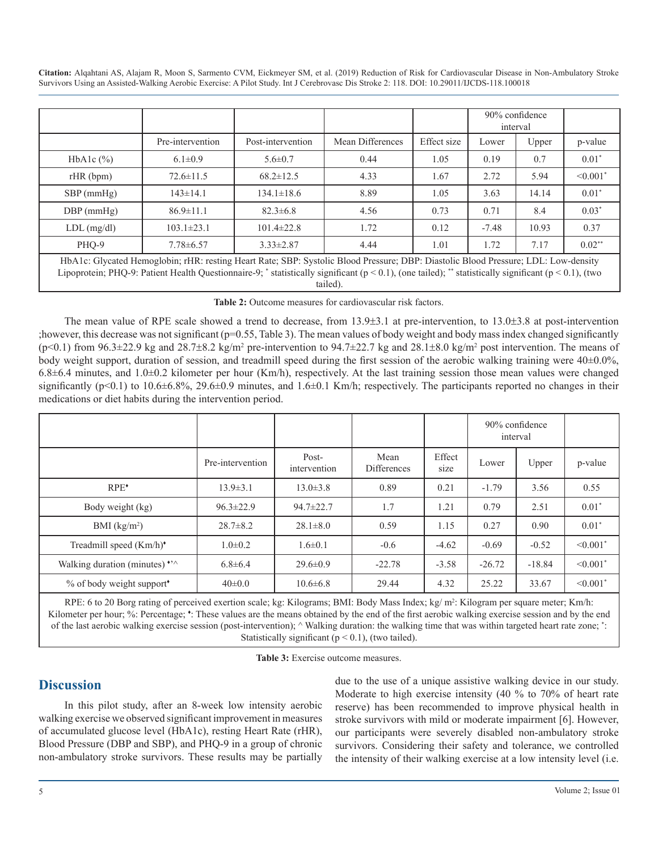|                                                                                                                                                                                                                                                                                                     |                  |                   |                  |             | 90% confidence<br>interval |       |                           |  |
|-----------------------------------------------------------------------------------------------------------------------------------------------------------------------------------------------------------------------------------------------------------------------------------------------------|------------------|-------------------|------------------|-------------|----------------------------|-------|---------------------------|--|
|                                                                                                                                                                                                                                                                                                     | Pre-intervention | Post-intervention | Mean Differences | Effect size | Lower                      | Upper | p-value                   |  |
| HbA <sub>1</sub> c $(\%)$                                                                                                                                                                                                                                                                           | $6.1 \pm 0.9$    | $5.6 \pm 0.7$     | 0.44             | 1.05        | 0.19                       | 0.7   | $0.01*$                   |  |
| rHR(bpm)                                                                                                                                                                                                                                                                                            | $72.6 \pm 11.5$  | $68.2 \pm 12.5$   | 4.33             | 1.67        | 2.72                       | 5.94  | $\leq 0.001$ <sup>*</sup> |  |
| $SBP$ (mmHg)                                                                                                                                                                                                                                                                                        | $143 \pm 14.1$   | $134.1 \pm 18.6$  | 8.89             | 1.05        | 3.63                       | 14.14 | $0.01*$                   |  |
| $DBP$ (mmHg)                                                                                                                                                                                                                                                                                        | $86.9 \pm 11.1$  | $82.3 \pm 6.8$    | 4.56             | 0.73        | 0.71                       | 8.4   | $0.03*$                   |  |
| $LDL$ (mg/dl)                                                                                                                                                                                                                                                                                       | $103.1 \pm 23.1$ | $101.4 \pm 22.8$  | 1.72             | 0.12        | $-7.48$                    | 10.93 | 0.37                      |  |
| PHO-9                                                                                                                                                                                                                                                                                               | $7.78 \pm 6.57$  | $3.33 \pm 2.87$   | 4.44             | 1.01        | 1.72                       | 7.17  | $0.02**$                  |  |
| HbA1c: Glycated Hemoglobin; rHR: resting Heart Rate; SBP: Systolic Blood Pressure; DBP: Diastolic Blood Pressure; LDL: Low-density<br>Lipoprotein; PHQ-9: Patient Health Questionnaire-9; * statistically significant ( $p < 0.1$ ), (one tailed); ** statistically significant ( $p < 0.1$ ), (two |                  |                   |                  |             |                            |       |                           |  |

tailed).

**Table 2:** Outcome measures for cardiovascular risk factors.

The mean value of RPE scale showed a trend to decrease, from 13.9±3.1 at pre-intervention, to 13.0±3.8 at post-intervention ;however, this decrease was not significant (p=0.55, Table 3). The mean values of body weight and body mass index changed significantly  $(p<0.1)$  from 96.3 $\pm$ 22.9 kg and 28.7 $\pm$ 8.2 kg/m<sup>2</sup> pre-intervention to 94.7 $\pm$ 22.7 kg and 28.1 $\pm$ 8.0 kg/m<sup>2</sup> post intervention. The means of body weight support, duration of session, and treadmill speed during the first session of the aerobic walking training were 40±0.0%,  $6.8\pm6.4$  minutes, and  $1.0\pm0.2$  kilometer per hour (Km/h), respectively. At the last training session those mean values were changed significantly (p<0.1) to 10.6 $\pm$ 6.8%, 29.6 $\pm$ 0.9 minutes, and 1.6 $\pm$ 0.1 Km/h; respectively. The participants reported no changes in their medications or diet habits during the intervention period.

|                                                 |                  |                       |                            |                | 90% confidence<br>interval |          |                           |
|-------------------------------------------------|------------------|-----------------------|----------------------------|----------------|----------------------------|----------|---------------------------|
|                                                 | Pre-intervention | Post-<br>intervention | Mean<br><b>Differences</b> | Effect<br>size | Lower                      | Upper    | p-value                   |
| $RPE^*$                                         | $13.9 \pm 3.1$   | $13.0 \pm 3.8$        | 0.89                       | 0.21           | $-1.79$                    | 3.56     | 0.55                      |
| Body weight (kg)                                | $96.3 \pm 22.9$  | $94.7 \pm 22.7$       | 1.7                        | 1.21           | 0.79                       | 2.51     | $0.01*$                   |
| BMI $(kg/m2)$                                   | $28.7 \pm 8.2$   | $28.1 \pm 8.0$        | 0.59                       | 1.15           | 0.27                       | 0.90     | $0.01*$                   |
| Treadmill speed (Km/h) <sup>*</sup>             | $1.0 \pm 0.2$    | $1.6 \pm 0.1$         | $-0.6$                     | $-4.62$        | $-0.69$                    | $-0.52$  | $< 0.001$ <sup>*</sup>    |
| Walking duration (minutes) $\cdot$ <sup>2</sup> | $6.8 \pm 6.4$    | $29.6 \pm 0.9$        | $-22.78$                   | $-3.58$        | $-26.72$                   | $-18.84$ | $< 0.001$ <sup>*</sup>    |
| % of body weight support*                       | $40\pm0.0$       | $10.6 \pm 6.8$        | 29.44                      | 4.32           | 25.22                      | 33.67    | $\leq 0.001$ <sup>*</sup> |

RPE: 6 to 20 Borg rating of perceived exertion scale; kg: Kilograms; BMI: Body Mass Index; kg/ m<sup>2</sup>: Kilogram per square meter; Km/h: Kilometer per hour; %: Percentage; \*: These values are the means obtained by the end of the first aerobic walking exercise session and by the end of the last aerobic walking exercise session (post-intervention); ^ Walking duration: the walking time that was within targeted heart rate zone; \* : Statistically significant ( $p < 0.1$ ), (two tailed).

**Table 3:** Exercise outcome measures.

## **Discussion**

In this pilot study, after an 8-week low intensity aerobic walking exercise we observed significant improvement in measures of accumulated glucose level (HbA1c), resting Heart Rate (rHR), Blood Pressure (DBP and SBP), and PHQ-9 in a group of chronic non-ambulatory stroke survivors. These results may be partially due to the use of a unique assistive walking device in our study. Moderate to high exercise intensity (40 % to 70% of heart rate reserve) has been recommended to improve physical health in stroke survivors with mild or moderate impairment [6]. However, our participants were severely disabled non-ambulatory stroke survivors. Considering their safety and tolerance, we controlled the intensity of their walking exercise at a low intensity level (i.e.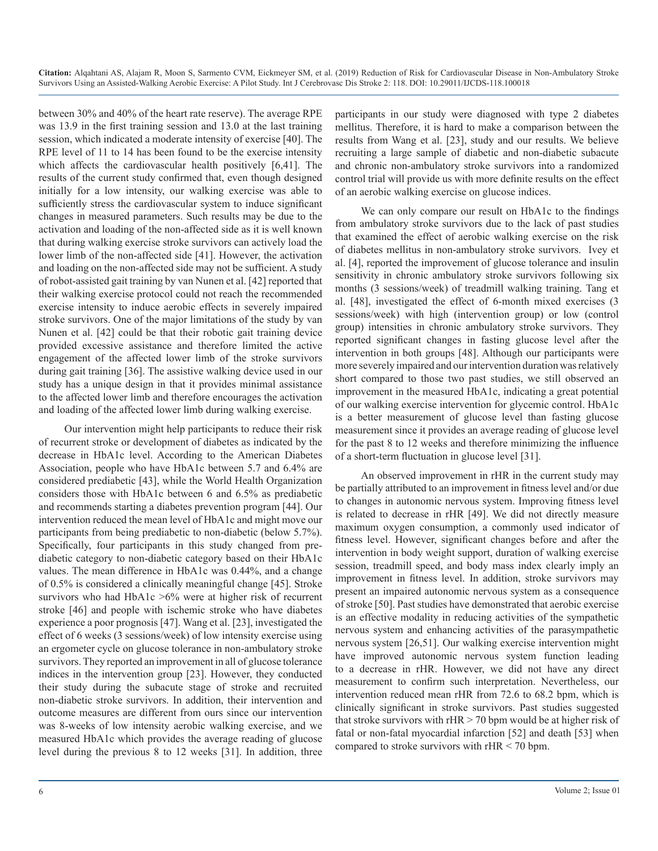between 30% and 40% of the heart rate reserve). The average RPE was 13.9 in the first training session and 13.0 at the last training session, which indicated a moderate intensity of exercise [40]. The RPE level of 11 to 14 has been found to be the exercise intensity which affects the cardiovascular health positively [6,41]. The results of the current study confirmed that, even though designed initially for a low intensity, our walking exercise was able to sufficiently stress the cardiovascular system to induce significant changes in measured parameters. Such results may be due to the activation and loading of the non-affected side as it is well known that during walking exercise stroke survivors can actively load the lower limb of the non-affected side [41]. However, the activation and loading on the non-affected side may not be sufficient. A study of robot-assisted gait training by van Nunen et al. [42] reported that their walking exercise protocol could not reach the recommended exercise intensity to induce aerobic effects in severely impaired stroke survivors. One of the major limitations of the study by van Nunen et al. [42] could be that their robotic gait training device provided excessive assistance and therefore limited the active engagement of the affected lower limb of the stroke survivors during gait training [36]. The assistive walking device used in our study has a unique design in that it provides minimal assistance to the affected lower limb and therefore encourages the activation and loading of the affected lower limb during walking exercise.

Our intervention might help participants to reduce their risk of recurrent stroke or development of diabetes as indicated by the decrease in HbA1c level. According to the American Diabetes Association, people who have HbA1c between 5.7 and 6.4% are considered prediabetic [43], while the World Health Organization considers those with HbA1c between 6 and 6.5% as prediabetic and recommends starting a diabetes prevention program [44]. Our intervention reduced the mean level of HbA1c and might move our participants from being prediabetic to non-diabetic (below 5.7%). Specifically, four participants in this study changed from prediabetic category to non-diabetic category based on their HbA1c values. The mean difference in HbA1c was 0.44%, and a change of 0.5% is considered a clinically meaningful change [45]. Stroke survivors who had HbA1c  $>6\%$  were at higher risk of recurrent stroke [46] and people with ischemic stroke who have diabetes experience a poor prognosis [47]. Wang et al. [23], investigated the effect of 6 weeks (3 sessions/week) of low intensity exercise using an ergometer cycle on glucose tolerance in non-ambulatory stroke survivors. They reported an improvement in all of glucose tolerance indices in the intervention group [23]. However, they conducted their study during the subacute stage of stroke and recruited non-diabetic stroke survivors. In addition, their intervention and outcome measures are different from ours since our intervention was 8-weeks of low intensity aerobic walking exercise, and we measured HbA1c which provides the average reading of glucose level during the previous 8 to 12 weeks [31]. In addition, three

participants in our study were diagnosed with type 2 diabetes mellitus. Therefore, it is hard to make a comparison between the results from Wang et al. [23], study and our results. We believe recruiting a large sample of diabetic and non-diabetic subacute and chronic non-ambulatory stroke survivors into a randomized control trial will provide us with more definite results on the effect of an aerobic walking exercise on glucose indices.

We can only compare our result on HbA1c to the findings from ambulatory stroke survivors due to the lack of past studies that examined the effect of aerobic walking exercise on the risk of diabetes mellitus in non-ambulatory stroke survivors. Ivey et al. [4], reported the improvement of glucose tolerance and insulin sensitivity in chronic ambulatory stroke survivors following six months (3 sessions/week) of treadmill walking training. Tang et al. [48], investigated the effect of 6-month mixed exercises (3 sessions/week) with high (intervention group) or low (control group) intensities in chronic ambulatory stroke survivors. They reported significant changes in fasting glucose level after the intervention in both groups [48]. Although our participants were more severely impaired and our intervention duration was relatively short compared to those two past studies, we still observed an improvement in the measured HbA1c, indicating a great potential of our walking exercise intervention for glycemic control. HbA1c is a better measurement of glucose level than fasting glucose measurement since it provides an average reading of glucose level for the past 8 to 12 weeks and therefore minimizing the influence of a short-term fluctuation in glucose level [31].

An observed improvement in rHR in the current study may be partially attributed to an improvement in fitness level and/or due to changes in autonomic nervous system. Improving fitness level is related to decrease in rHR [49]. We did not directly measure maximum oxygen consumption, a commonly used indicator of fitness level. However, significant changes before and after the intervention in body weight support, duration of walking exercise session, treadmill speed, and body mass index clearly imply an improvement in fitness level. In addition, stroke survivors may present an impaired autonomic nervous system as a consequence of stroke [50]. Past studies have demonstrated that aerobic exercise is an effective modality in reducing activities of the sympathetic nervous system and enhancing activities of the parasympathetic nervous system [26,51]. Our walking exercise intervention might have improved autonomic nervous system function leading to a decrease in rHR. However, we did not have any direct measurement to confirm such interpretation. Nevertheless, our intervention reduced mean rHR from 72.6 to 68.2 bpm, which is clinically significant in stroke survivors. Past studies suggested that stroke survivors with  $rHR > 70$  bpm would be at higher risk of fatal or non-fatal myocardial infarction [52] and death [53] when compared to stroke survivors with rHR < 70 bpm.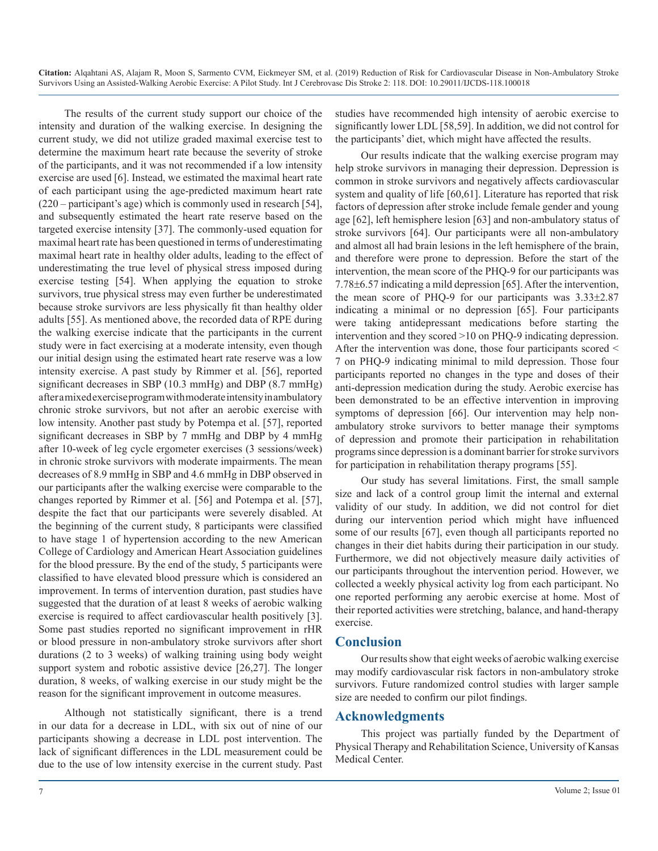The results of the current study support our choice of the intensity and duration of the walking exercise. In designing the current study, we did not utilize graded maximal exercise test to determine the maximum heart rate because the severity of stroke of the participants, and it was not recommended if a low intensity exercise are used [6]. Instead, we estimated the maximal heart rate of each participant using the age-predicted maximum heart rate (220 – participant's age) which is commonly used in research [54], and subsequently estimated the heart rate reserve based on the targeted exercise intensity [37]. The commonly-used equation for maximal heart rate has been questioned in terms of underestimating maximal heart rate in healthy older adults, leading to the effect of underestimating the true level of physical stress imposed during exercise testing [54]. When applying the equation to stroke survivors, true physical stress may even further be underestimated because stroke survivors are less physically fit than healthy older adults [55]. As mentioned above, the recorded data of RPE during the walking exercise indicate that the participants in the current study were in fact exercising at a moderate intensity, even though our initial design using the estimated heart rate reserve was a low intensity exercise. A past study by Rimmer et al. [56], reported significant decreases in SBP (10.3 mmHg) and DBP (8.7 mmHg) after a mixed exercise program with moderate intensity in ambulatory chronic stroke survivors, but not after an aerobic exercise with low intensity. Another past study by Potempa et al. [57], reported significant decreases in SBP by 7 mmHg and DBP by 4 mmHg after 10-week of leg cycle ergometer exercises (3 sessions/week) in chronic stroke survivors with moderate impairments. The mean decreases of 8.9 mmHg in SBP and 4.6 mmHg in DBP observed in our participants after the walking exercise were comparable to the changes reported by Rimmer et al. [56] and Potempa et al. [57], despite the fact that our participants were severely disabled. At the beginning of the current study, 8 participants were classified to have stage 1 of hypertension according to the new American College of Cardiology and American Heart Association guidelines for the blood pressure. By the end of the study, 5 participants were classified to have elevated blood pressure which is considered an improvement. In terms of intervention duration, past studies have suggested that the duration of at least 8 weeks of aerobic walking exercise is required to affect cardiovascular health positively [3]. Some past studies reported no significant improvement in rHR or blood pressure in non-ambulatory stroke survivors after short durations (2 to 3 weeks) of walking training using body weight support system and robotic assistive device [26,27]. The longer duration, 8 weeks, of walking exercise in our study might be the reason for the significant improvement in outcome measures.

Although not statistically significant, there is a trend in our data for a decrease in LDL, with six out of nine of our participants showing a decrease in LDL post intervention. The lack of significant differences in the LDL measurement could be due to the use of low intensity exercise in the current study. Past

studies have recommended high intensity of aerobic exercise to significantly lower LDL [58,59]. In addition, we did not control for the participants' diet, which might have affected the results.

Our results indicate that the walking exercise program may help stroke survivors in managing their depression. Depression is common in stroke survivors and negatively affects cardiovascular system and quality of life [60,61]. Literature has reported that risk factors of depression after stroke include female gender and young age [62], left hemisphere lesion [63] and non-ambulatory status of stroke survivors [64]. Our participants were all non-ambulatory and almost all had brain lesions in the left hemisphere of the brain, and therefore were prone to depression. Before the start of the intervention, the mean score of the PHQ-9 for our participants was 7.78±6.57 indicating a mild depression [65]. After the intervention, the mean score of PHQ-9 for our participants was 3.33±2.87 indicating a minimal or no depression [65]. Four participants were taking antidepressant medications before starting the intervention and they scored >10 on PHQ-9 indicating depression. After the intervention was done, those four participants scored < 7 on PHQ-9 indicating minimal to mild depression. Those four participants reported no changes in the type and doses of their anti-depression medication during the study. Aerobic exercise has been demonstrated to be an effective intervention in improving symptoms of depression [66]. Our intervention may help nonambulatory stroke survivors to better manage their symptoms of depression and promote their participation in rehabilitation programs since depression is a dominant barrier for stroke survivors for participation in rehabilitation therapy programs [55].

Our study has several limitations. First, the small sample size and lack of a control group limit the internal and external validity of our study. In addition, we did not control for diet during our intervention period which might have influenced some of our results [67], even though all participants reported no changes in their diet habits during their participation in our study. Furthermore, we did not objectively measure daily activities of our participants throughout the intervention period. However, we collected a weekly physical activity log from each participant. No one reported performing any aerobic exercise at home. Most of their reported activities were stretching, balance, and hand-therapy exercise.

#### **Conclusion**

Our results show that eight weeks of aerobic walking exercise may modify cardiovascular risk factors in non-ambulatory stroke survivors. Future randomized control studies with larger sample size are needed to confirm our pilot findings.

### **Acknowledgments**

This project was partially funded by the Department of Physical Therapy and Rehabilitation Science, University of Kansas Medical Center.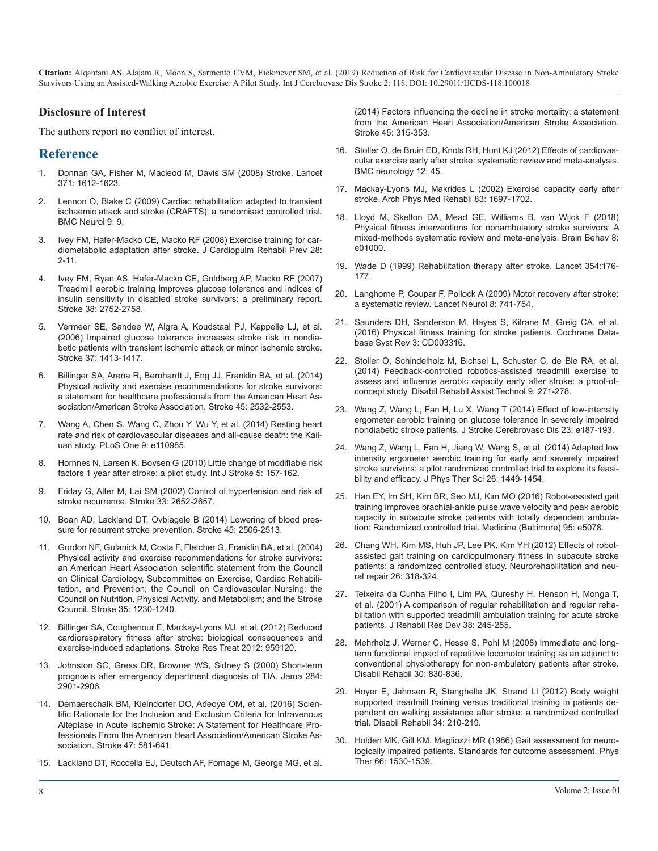#### **Disclosure of Interest**

The authors report no conflict of interest.

## **Reference**

- 1. [Donnan GA, Fisher M, Macleod M, Davis SM \(2008\) Stroke. Lancet](https://www.ncbi.nlm.nih.gov/pubmed/18468545)  371: 1612-1623.
- 2. [Lennon O, Blake C \(2009\) Cardiac rehabilitation adapted to transient](https://www.ncbi.nlm.nih.gov/pubmed/19236691)  ischaemic attack and stroke (CRAFTS): a randomised controlled trial. [BMC Neurol 9: 9.](https://www.ncbi.nlm.nih.gov/pubmed/19236691)
- 3. [Ivey FM, Hafer-Macko CE, Macko RF \(2008\) Exercise training for car](https://www.ncbi.nlm.nih.gov/pubmed/18277823)diometabolic adaptation after stroke. J Cardiopulm Rehabil Prev 28: [2-11.](https://www.ncbi.nlm.nih.gov/pubmed/18277823)
- 4. [Ivey FM, Ryan AS, Hafer-Macko CE, Goldberg AP, Macko RF \(2007\)](https://www.ncbi.nlm.nih.gov/pubmed/17702957)  Treadmill aerobic training improves glucose tolerance and indices of [insulin sensitivity in disabled stroke survivors: a preliminary report.](https://www.ncbi.nlm.nih.gov/pubmed/17702957)  [Stroke 38: 2752-2758.](https://www.ncbi.nlm.nih.gov/pubmed/17702957)
- 5. [Vermeer SE, Sandee W, Algra A, Koudstaal PJ, Kappelle LJ, et al.](https://www.ncbi.nlm.nih.gov/pubmed/16627787)  (2006) Impaired glucose tolerance increases stroke risk in nondia[betic patients with transient ischemic attack or minor ischemic stroke.](https://www.ncbi.nlm.nih.gov/pubmed/16627787)  [Stroke 37: 1413-1417.](https://www.ncbi.nlm.nih.gov/pubmed/16627787)
- 6. [Billinger SA, Arena R, Bernhardt J, Eng JJ, Franklin BA, et al. \(2014\)](https://www.ncbi.nlm.nih.gov/pubmed/24846875)  Physical activity and exercise recommendations for stroke survivors: [a statement for healthcare professionals from the American Heart As](https://www.ncbi.nlm.nih.gov/pubmed/24846875)[sociation/American Stroke Association. Stroke 45: 2532-2553.](https://www.ncbi.nlm.nih.gov/pubmed/24846875)
- 7. [Wang A, Chen S, Wang C, Zhou Y, Wu Y, et al. \(2014\) Resting heart](https://www.ncbi.nlm.nih.gov/pmc/articles/PMC4208799/)  rate and risk of cardiovascular diseases and all-cause death: the Kail[uan study. PLoS One 9: e110985.](https://www.ncbi.nlm.nih.gov/pmc/articles/PMC4208799/)
- 8. [Hornnes N, Larsen K, Boysen G \(2010\) Little change of modifiable risk](https://www.ncbi.nlm.nih.gov/pubmed/20536611)  factors 1 year after stroke: a pilot study. Int J Stroke 5: 157-162.
- 9. [Friday G, Alter M, Lai SM \(2002\) Control of hypertension and risk of](https://www.ncbi.nlm.nih.gov/pubmed/12411656)  stroke recurrence. Stroke 33: 2652-2657.
- 10. [Boan AD, Lackland DT, Ovbiagele B \(2014\) Lowering of blood pres](https://www.ncbi.nlm.nih.gov/pmc/articles/PMC4134881/)sure for recurrent stroke prevention. Stroke 45: 2506-2513.
- 11. [Gordon NF, Gulanick M, Costa F, Fletcher G, Franklin BA, et al. \(2004\)](https://www.ncbi.nlm.nih.gov/pubmed/15117863)  Physical activity and exercise recommendations for stroke survivors: [an American Heart Association scientific statement from the Council](https://www.ncbi.nlm.nih.gov/pubmed/15117863)  [on Clinical Cardiology, Subcommittee on Exercise, Cardiac Rehabili](https://www.ncbi.nlm.nih.gov/pubmed/15117863)[tation, and Prevention; the Council on Cardiovascular Nursing; the](https://www.ncbi.nlm.nih.gov/pubmed/15117863)  [Council on Nutrition, Physical Activity, and Metabolism; and the Stroke](https://www.ncbi.nlm.nih.gov/pubmed/15117863)  [Council. Stroke 35: 1230-1240.](https://www.ncbi.nlm.nih.gov/pubmed/15117863)
- 12. [Billinger SA, Coughenour E, Mackay-Lyons MJ, et al. \(2012\) Reduced](https://www.ncbi.nlm.nih.gov/pubmed/21876848)  cardiorespiratory fitness after stroke: biological consequences and [exercise-induced adaptations. Stroke Res Treat 2012: 959120.](https://www.ncbi.nlm.nih.gov/pubmed/21876848)
- 13. [Johnston SC, Gress DR, Browner WS, Sidney S \(2000\) Short-term](https://www.ncbi.nlm.nih.gov/pubmed/11147987)  prognosis after emergency department diagnosis of TIA. Jama 284: [2901-2906.](https://www.ncbi.nlm.nih.gov/pubmed/11147987)
- 14. [Demaerschalk BM, Kleindorfer DO, Adeoye OM, et al. \(2016\) Scien](https://www.ncbi.nlm.nih.gov/pubmed/26696642)tific Rationale for the Inclusion and Exclusion Criteria for Intravenous [Alteplase in Acute Ischemic Stroke: A Statement for Healthcare Pro](https://www.ncbi.nlm.nih.gov/pubmed/26696642)[fessionals From the American Heart Association/American Stroke As](https://www.ncbi.nlm.nih.gov/pubmed/26696642)[sociation. Stroke 47: 581-641.](https://www.ncbi.nlm.nih.gov/pubmed/26696642)
- 15. [Lackland DT, Roccella EJ, Deutsch AF, Fornage M, George MG, et al.](https://www.ncbi.nlm.nih.gov/pubmed/24309587)

(2014) Factors influencing the decline in stroke mortality: a statement [from the American Heart Association/American Stroke Association.](https://www.ncbi.nlm.nih.gov/pubmed/24309587)  [Stroke 45: 315-353.](https://www.ncbi.nlm.nih.gov/pubmed/24309587)

- 16. [Stoller O, de Bruin ED, Knols RH, Hunt KJ \(2012\) Effects of cardiovas](https://www.ncbi.nlm.nih.gov/pubmed/22727172)cular exercise early after stroke: systematic review and meta-analysis. [BMC neurology 12: 45.](https://www.ncbi.nlm.nih.gov/pubmed/22727172)
- 17. [Mackay-Lyons MJ, Makrides L \(2002\) Exercise capacity early after](https://www.ncbi.nlm.nih.gov/pubmed/12474172) stroke. Arch Phys Med Rehabil 83: 1697-1702.
- 18. [Lloyd M, Skelton DA, Mead GE, Williams B, van Wijck F \(2018\)](https://www.ncbi.nlm.nih.gov/pubmed/29920979) Physical fitness interventions for nonambulatory stroke survivors: [A](https://www.ncbi.nlm.nih.gov/pubmed/29920979)  [mixed-methods systematic review and meta-analysis. Brain Behav 8:](https://www.ncbi.nlm.nih.gov/pubmed/29920979)  [e01000.](https://www.ncbi.nlm.nih.gov/pubmed/29920979)
- 19. [Wade D \(1999\) Rehabilitation therapy after stroke. Lancet 354:176-](https://europepmc.org/abstract/med/10421294) 177.
- 20. [Langhorne P, Coupar F, Pollock A \(2009\) Motor recovery after stroke:](https://www.ncbi.nlm.nih.gov/pubmed/19608100) a systematic review. Lancet Neurol 8: 741-754.
- 21. [Saunders DH, Sanderson M, Hayes S, Kilrane M, Greig CA, et al.](https://www.ncbi.nlm.nih.gov/pubmed/27010219)  [\(2016\) Physical fitness training for stroke patients. Cochrane Data](https://www.ncbi.nlm.nih.gov/pubmed/16627787)[base Syst Rev 3: CD003316.](https://www.ncbi.nlm.nih.gov/pubmed/27010219)
- 22. [Stoller O, Schindelholz M, Bichsel L, Schuster C, de Bie RA, et al.](https://www.ncbi.nlm.nih.gov/pubmed/23597319)  (2014) Feedback-controlled robotics-assisted treadmill exercise to [assess and influence aerobic capacity early after stroke: a proof-of](https://www.ncbi.nlm.nih.gov/pubmed/23597319)[concept study. Disabil Rehabil Assist Technol 9: 271-278.](https://www.ncbi.nlm.nih.gov/pubmed/23597319)
- 23. [Wang Z, Wang L, Fan H, Lu X, Wang T \(2014\) Effect of low-intensity](https://www.ncbi.nlm.nih.gov/pubmed/24231135) ergometer aerobic training on glucose tolerance in severely impaired [nondiabetic stroke patients. J Stroke Cerebrovasc Dis 23: e187-193.](https://www.ncbi.nlm.nih.gov/pubmed/24231135)
- 24. [Wang Z, Wang L, Fan H, Jiang W, Wang S, et al. \(2014\) Adapted low](https://www.ncbi.nlm.nih.gov/pmc/articles/PMC4175255/)  intensity ergometer aerobic training for early and severely impaired [stroke survivors: a pilot randomized controlled trial to explore its feasi](https://www.ncbi.nlm.nih.gov/pmc/articles/PMC4175255/)[bility and efficacy. J Phys Ther Sci 26: 1449-1454](https://www.ncbi.nlm.nih.gov/pmc/articles/PMC4175255/).
- 25. [Han EY, Im SH, Kim BR, Seo MJ, Kim MO \(2016\) Robot-assisted gait](https://www.ncbi.nlm.nih.gov/pubmed/27741123) training improves brachial-ankle pulse wave velocity and peak aerobic [capacity in subacute stroke patients with totally dependent ambula](https://www.ncbi.nlm.nih.gov/pubmed/27741123)[tion: Randomized controlled trial. Medicine \(Baltimore\) 95: e5078](https://www.ncbi.nlm.nih.gov/pubmed/27741123)[.](https://www.ncbi.nlm.nih.gov/pmc/articles/PMC4134881/)
- 26. [Chang WH, Kim MS, Huh JP, Lee PK, Kim YH \(2012\) Effects of robot](https://www.ncbi.nlm.nih.gov/pubmed/22086903)[assisted gait training on cardiopulmonary fitness in subacute stroke](https://www.ncbi.nlm.nih.gov/pubmed/15117863)  [patients: a randomized controlled study. Neurorehabilitation and neu](https://www.ncbi.nlm.nih.gov/pubmed/22086903)[ral repair 26: 318-324.](https://www.ncbi.nlm.nih.gov/pubmed/22086903)
- 27. [Teixeira da Cunha Filho I, Lim PA, Qureshy H, Henson H, Monga T,](https://www.ncbi.nlm.nih.gov/pubmed/11392657)  et al. (2001) A comparison of regular rehabilitation and regular reha[bilitation with supported treadmill ambulation training for acute stroke](https://www.ncbi.nlm.nih.gov/pubmed/11392657)  [patients. J Rehabil Res Dev 38: 245-255.](https://www.ncbi.nlm.nih.gov/pubmed/11392657)
- 28. [Mehrholz J, Werner C, Hesse S, Pohl M \(2008\) Immediate and long](https://www.ncbi.nlm.nih.gov/pubmed/17852272)term functional impact of repetitive locomotor training as an adjunct to [conventional physiotherapy for non-ambulatory patients after stroke.](https://www.ncbi.nlm.nih.gov/pubmed/17852272)  [Disabil Rehabil 30: 830-836.](https://www.ncbi.nlm.nih.gov/pubmed/11147987)
- 29. [Hoyer E, Jahnsen R, Stanghelle JK, Strand LI \(2012\) Body weight](https://www.ncbi.nlm.nih.gov/pubmed/21954995)  supported treadmill training versus traditional training in patients de[pendent on walking assistance after stroke: a randomized controlled](https://www.ncbi.nlm.nih.gov/pubmed/21954995) [trial. Disabil Rehabil 34: 210-219.](https://www.ncbi.nlm.nih.gov/pubmed/21954995)
- [Holden MK, Gill KM, Magliozzi MR \(1986\) Gait assessment for neuro](https://www.ncbi.nlm.nih.gov/pubmed/3763704)logically impaired patients. Standards for outcome assessment. Phys [Ther 66: 1530-1539.](https://www.ncbi.nlm.nih.gov/pubmed/3763704)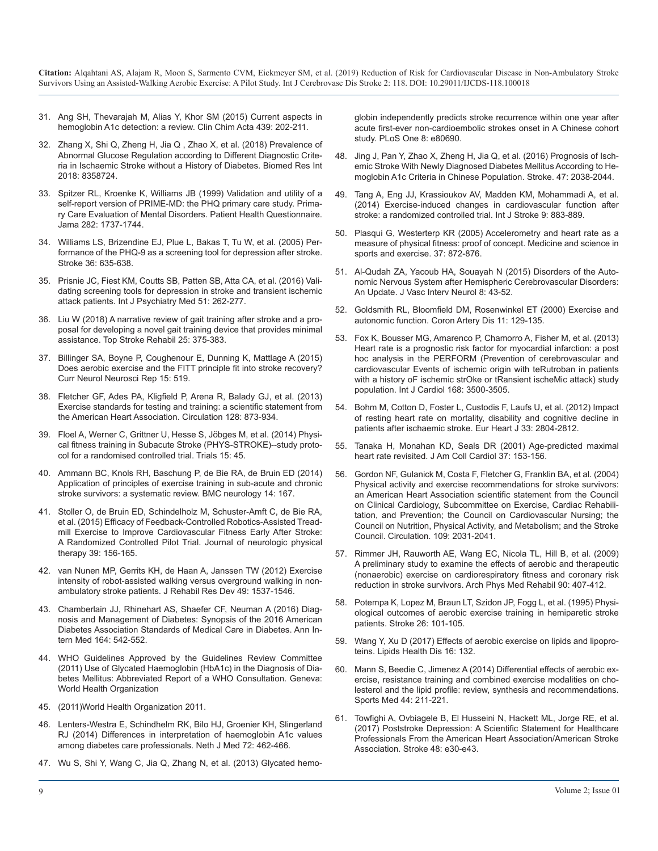- 31. [Ang SH, Thevarajah M, Alias Y, Khor SM \(2015\) Current aspects in](https://www.ncbi.nlm.nih.gov/pubmed/25451954) [hemoglobin A1c detection: a review. Clin Chim Acta 439: 202-211.](https://www.ncbi.nlm.nih.gov/pubmed/25451954)
- 32. [Zhang X, Shi Q, Zheng H, Jia Q , Zhao X, et al. \(2018\) Prevalence of](https://www.ncbi.nlm.nih.gov/pubmed/29951547)  [Abnormal Glucose Regulation according to Different Diagnostic Crite](https://www.ncbi.nlm.nih.gov/pubmed/29951547)[ria in Ischaemic Stroke without a History of Diabetes. Biomed Res Int](https://www.ncbi.nlm.nih.gov/pubmed/29951547) [2018: 8358724.](https://www.ncbi.nlm.nih.gov/pubmed/29951547)
- 33. [Spitzer RL, Kroenke K, Williams JB \(1999\) Validation and utility of a](https://www.ncbi.nlm.nih.gov/pubmed/10568646)  [self-report version of PRIME-MD: the PHQ primary care study. Prima](https://www.ncbi.nlm.nih.gov/pubmed/10568646)[ry Care Evaluation of Mental Disorders. Patient Health Questionnaire.](https://www.ncbi.nlm.nih.gov/pubmed/10568646)  [Jama 282: 1737-1744.](https://www.ncbi.nlm.nih.gov/pubmed/10568646)
- 34. [Williams LS, Brizendine EJ, Plue L, Bakas T, Tu W, et al. \(2005\) Per](https://www.ncbi.nlm.nih.gov/pubmed/15677576)[formance of the PHQ-9 as a screening tool for depression after stroke.](https://www.ncbi.nlm.nih.gov/pubmed/15677576) [Stroke 36: 635-638.](https://www.ncbi.nlm.nih.gov/pubmed/15677576)
- 35. [Prisnie JC, Fiest KM, Coutts SB, Patten SB, Atta CA, et al. \(2016\) Vali](https://www.ncbi.nlm.nih.gov/pubmed/27284119)[dating screening tools for depression in stroke and transient ischemic](https://www.ncbi.nlm.nih.gov/pubmed/27284119)  [attack patients. Int J Psychiatry Med 51: 262-277.](https://www.ncbi.nlm.nih.gov/pubmed/27284119)
- 36. [Liu W \(2018\) A narrative review of gait training after stroke and a pro](https://www.ncbi.nlm.nih.gov/pubmed/29718796)[posal for developing a novel gait training device that provides minimal](https://www.ncbi.nlm.nih.gov/pubmed/29718796)  [assistance. Top Stroke Rehabil 25: 375-383.](https://www.ncbi.nlm.nih.gov/pubmed/29718796)
- 37. [Billinger SA, Boyne P, Coughenour E, Dunning K, Mattlage A \(2015\)](https://www.ncbi.nlm.nih.gov/pmc/articles/PMC4560458/) [Does aerobic exercise and the FITT principle fit into stroke recovery?](https://www.ncbi.nlm.nih.gov/pmc/articles/PMC4560458/)  [Curr Neurol Neurosci Rep 15: 519.](https://www.ncbi.nlm.nih.gov/pmc/articles/PMC4560458/)
- 38. [Fletcher GF, Ades PA, Kligfield P, Arena R, Balady GJ, et al. \(2013\)](https://www.ncbi.nlm.nih.gov/pubmed/23877260)  [Exercise standards for testing and training: a scientific statement from](https://www.ncbi.nlm.nih.gov/pubmed/23877260)  [the American Heart Association. Circulation 128: 873-934.](https://www.ncbi.nlm.nih.gov/pubmed/23877260)
- 39. [Floel A, Werner C, Grittner U, Hesse S, Jöbges M, et al. \(2014\) Physi](https://www.ncbi.nlm.nih.gov/pmc/articles/PMC3922602/)[cal fitness training in Subacute Stroke \(PHYS-STROKE\)--study proto](https://www.ncbi.nlm.nih.gov/pmc/articles/PMC3922602/)[col for a randomised controlled trial. Trials 15: 45.](https://www.ncbi.nlm.nih.gov/pmc/articles/PMC3922602/)
- 40. [Ammann BC, Knols RH, Baschung P, de Bie RA, de Bruin ED \(2014\)](https://www.ncbi.nlm.nih.gov/pubmed/25162455)  [Application of principles of exercise training in sub-acute and chronic](https://www.ncbi.nlm.nih.gov/pubmed/25162455) [stroke survivors: a systematic review. BMC neurology 14: 167.](https://www.ncbi.nlm.nih.gov/pubmed/25162455)
- 41. [Stoller O, de Bruin ED, Schindelholz M, Schuster-Amft C, de Bie RA,](https://www.ncbi.nlm.nih.gov/pubmed/26050073)  [et al. \(2015\) Efficacy of Feedback-Controlled Robotics-Assisted Tread](https://www.ncbi.nlm.nih.gov/pubmed/26050073)[mill Exercise to Improve Cardiovascular Fitness Early After Stroke:](https://www.ncbi.nlm.nih.gov/pubmed/26050073) [A Randomized Controlled Pilot Trial. Journal of neurologic physical](https://www.ncbi.nlm.nih.gov/pubmed/26050073)  [therapy 39: 156-165.](https://www.ncbi.nlm.nih.gov/pubmed/26050073)
- 42. [van Nunen MP, Gerrits KH, de Haan A, Janssen TW \(2012\) Exercise](https://www.ncbi.nlm.nih.gov/pubmed/23516057)  [intensity of robot-assisted walking versus overground walking in non](https://www.ncbi.nlm.nih.gov/pubmed/23516057)[ambulatory stroke patients. J Rehabil Res Dev 49: 1537-1546.](https://www.ncbi.nlm.nih.gov/pubmed/23516057)
- 43. [Chamberlain JJ, Rhinehart AS, Shaefer CF, Neuman A \(2016\) Diag](https://www.ncbi.nlm.nih.gov/pubmed/26928912)[nosis and Management of Diabetes: Synopsis of the 2016 American](https://www.ncbi.nlm.nih.gov/pubmed/26928912)  [Diabetes Association Standards of Medical Care in Diabetes. Ann In](https://www.ncbi.nlm.nih.gov/pubmed/26928912)[tern Med 164: 542-552.](https://www.ncbi.nlm.nih.gov/pubmed/26928912)
- 44. [WHO Guidelines Approved by the Guidelines Review Committee](https://www.ncbi.nlm.nih.gov/pubmed/26158184)  [\(2011\) Use of Glycated Haemoglobin \(HbA1c\) in the Diagnosis of Dia](https://www.ncbi.nlm.nih.gov/pubmed/26158184)[betes Mellitus: Abbreviated Report of a WHO Consultation. Geneva](https://www.ncbi.nlm.nih.gov/pubmed/26158184)[:](https://www.ncbi.nlm.nih.gov/pubmed/24174305)  [World Health Organization](https://www.ncbi.nlm.nih.gov/pubmed/26158184)
- 45. [\(2011\)World Health Organization 2011.](https://www.who.int/whosis/whostat/2011/en/)
- 46. [Lenters-Westra E, Schindhelm RK, Bilo HJ, Groenier KH, Slingerland](https://www.ncbi.nlm.nih.gov/pubmed/25431391)  [RJ \(2014\) Differences in interpretation of haemoglobin A1c values](https://www.ncbi.nlm.nih.gov/pubmed/25431391)  [among diabetes care professionals. Neth J Med 72: 462-466.](https://www.ncbi.nlm.nih.gov/pubmed/25431391)
- 47. [Wu S, Shi Y, Wang C, Jia Q, Zhang N, et al. \(2013\) Glycated hemo-](https://www.ncbi.nlm.nih.gov/pubmed/24236195)

globin independently predicts stroke recurrence within one year after [acute first-ever non-cardioembolic strokes onset in A Chinese cohort](https://www.ncbi.nlm.nih.gov/pubmed/24236195)  [study. PLoS One 8: e80690.](https://www.ncbi.nlm.nih.gov/pubmed/24236195)

- 48. [Jing J, Pan Y, Zhao X, Zheng H, Jia Q, et al. \(2016\) Prognosis of Isch](https://www.ncbi.nlm.nih.gov/pubmed/27382009)emic Stroke With Newly Diagnosed Diabetes Mellitus According to He[moglobin A1c Criteria in Chinese Population. Stroke. 47: 2038-2044.](https://www.ncbi.nlm.nih.gov/pubmed/27382009)
- 49. [Tang A, Eng JJ, Krassioukov AV, Madden KM, Mohammadi A, et al.](https://www.ncbi.nlm.nih.gov/pubmed/24148695) [\(2014\) Exercise-induced changes in cardiovascular function after](https://www.ncbi.nlm.nih.gov/pubmed/24148695)  [stroke: a randomized controlled trial. Int J Stroke 9: 883-889.](https://www.ncbi.nlm.nih.gov/pubmed/24148695)
- 50. [Plasqui G, Westerterp KR \(2005\) Accelerometry and heart rate as a](https://www.ncbi.nlm.nih.gov/pubmed/15870644) [measure of physical fitness: proof of concept. Medicine and science in](https://www.ncbi.nlm.nih.gov/pubmed/15870644)  [sports and exercise. 37: 872-876.](https://www.ncbi.nlm.nih.gov/pubmed/15870644)
- 51. [Al-Qudah ZA, Yacoub HA, Souayah N \(2015\) Disorders of the Auto](https://www.ncbi.nlm.nih.gov/pubmed/26576215)[nomic Nervous System after Hemispheric Cerebrovascular Disorders:](https://www.ncbi.nlm.nih.gov/pubmed/26576215) [An Update. J Vasc Interv Neurol 8: 43-52.](https://www.ncbi.nlm.nih.gov/pubmed/26576215)
- 52. [Goldsmith RL, Bloomfield DM, Rosenwinkel ET \(2000\) Exercise and](https://www.ncbi.nlm.nih.gov/pubmed/10758814)  autonomic function. Coron Artery Dis 11: 129-135.
- 53. [Fox K, Bousser MG, Amarenco P, Chamorro A, Fisher M, et al. \(2013\)](https://www.ncbi.nlm.nih.gov/pubmed/23706327)  [Heart rate is a prognostic risk factor for myocardial infarction: a post](https://www.ncbi.nlm.nih.gov/pubmed/23706327)  [hoc analysis in the PERFORM \(Prevention of cerebrovascular and](https://www.ncbi.nlm.nih.gov/pubmed/23706327)  [cardiovascular Events of ischemic origin with teRutroban in patients](https://www.ncbi.nlm.nih.gov/pubmed/23706327)  [with a history oF ischemic strOke or tRansient ischeMic attack\) study](https://www.ncbi.nlm.nih.gov/pubmed/23706327)  [population. Int J Cardiol 168: 3500-3505.](https://www.ncbi.nlm.nih.gov/pubmed/23706327)
- 54. [Bohm M, Cotton D, Foster L, Custodis F, Laufs U, et al. \(2012\) Impact](https://www.ncbi.nlm.nih.gov/pubmed/22922507)  [of resting heart rate on mortality, disability and cognitive decline in](https://www.ncbi.nlm.nih.gov/pubmed/22922507)  [patients after ischaemic stroke. Eur Heart J 33: 2804-2812.](https://www.ncbi.nlm.nih.gov/pubmed/22922507)
- 55. [Tanaka H, Monahan KD, Seals DR \(2001\) Age-predicted maximal](https://www.ncbi.nlm.nih.gov/pubmed/11153730)  [heart rate revisited. J Am Coll Cardiol 37: 153-156.](https://www.ncbi.nlm.nih.gov/pubmed/11153730)
- 56. [Gordon NF, Gulanick M, Costa F, Fletcher G, Franklin BA, et al. \(2004\)](https://www.ncbi.nlm.nih.gov/pubmed/15117863)  Physical activity and exercise recommendations for stroke survivors: [an American Heart Association scientific statement from the Council](https://www.ncbi.nlm.nih.gov/pubmed/15117863)  [on Clinical Cardiology, Subcommittee on Exercise, Cardiac Rehabili](https://www.ncbi.nlm.nih.gov/pubmed/15117863)[tation, and Prevention; the Council on Cardiovascular Nursing; the](https://www.ncbi.nlm.nih.gov/pubmed/15117863)  [Council on Nutrition, Physical Activity, and Metabolism; and the Stroke](https://www.ncbi.nlm.nih.gov/pubmed/15117863)  [Council. Circulation. 109: 2031-2041.](https://www.ncbi.nlm.nih.gov/pubmed/15117863)
- 57. [Rimmer JH, Rauworth AE, Wang EC, Nicola TL, Hill B, et al. \(2009\)](https://www.ncbi.nlm.nih.gov/pubmed/19254604)  [A preliminary study to examine the effects of aerobic and therapeutic](https://www.ncbi.nlm.nih.gov/pubmed/19254604)  [\(nonaerobic\) exercise on cardiorespiratory fitness and coronary risk](https://www.ncbi.nlm.nih.gov/pubmed/19254604)  [reduction in stroke survivors. Arch Phys Med Rehabil 90: 407-412.](https://www.ncbi.nlm.nih.gov/pubmed/19254604)
- 58. [Potempa K, Lopez M, Braun LT, Szidon JP, Fogg L, et al. \(1995\) Physi](https://www.ncbi.nlm.nih.gov/pubmed/7839377)[ological outcomes of aerobic exercise training in hemiparetic stroke](https://www.ncbi.nlm.nih.gov/pubmed/7839377)  [patients. Stroke 26: 101-105.](https://www.ncbi.nlm.nih.gov/pubmed/7839377)
- 59. [Wang Y, Xu D \(2017\) Effects of aerobic exercise on lipids and lipopro](https://www.ncbi.nlm.nih.gov/pubmed/28679436)[teins. Lipids Health Dis 16: 132.](https://www.ncbi.nlm.nih.gov/pubmed/28679436)
- 60. [Mann S, Beedie C, Jimenez A \(2014\) Differential effects of aerobic ex](https://www.ncbi.nlm.nih.gov/pubmed/24174305)ercise, resistance training and combined exercise modalities on cho[lesterol and the lipid profile: review, synthesis and recommendations.](https://www.ncbi.nlm.nih.gov/pubmed/24174305)  [Sports Med 44: 211-221.](https://www.ncbi.nlm.nih.gov/pubmed/24174305)
- 61. [Towfighi A, Ovbiagele B, El Husseini N, Hackett ML, Jorge RE, et al.](https://www.ncbi.nlm.nih.gov/pubmed/27932603)  [\(2017\) Poststroke Depression: A Scientific Statement for Healthcare](https://www.ncbi.nlm.nih.gov/pubmed/27932603)  [Professionals From the American Heart Association/American Stroke](https://www.ncbi.nlm.nih.gov/pubmed/27932603) [Association. Stroke 48: e30-e43.](https://www.ncbi.nlm.nih.gov/pubmed/27932603)